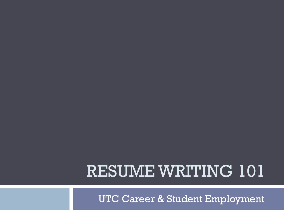### RESUME WRITING 101

UTC Career & Student Employment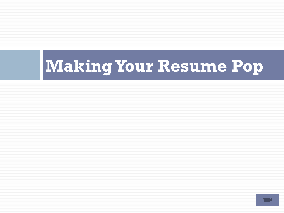# **Making Your Resume Pop**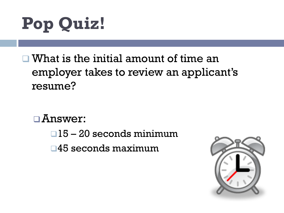# **Pop Quiz!**

 $\Box$  What is the initial amount of time an employer takes to review an applicant's resume?

 $\Box$ Answer:

 $\Box$ 15 – 20 seconds minimum

 $\square$ 45 seconds maximum

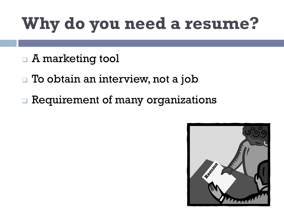## **Why do you need a resume?**

- □ A marketing tool
- $\Box$  To obtain an interview, not a job
- **Requirement of many organizations**

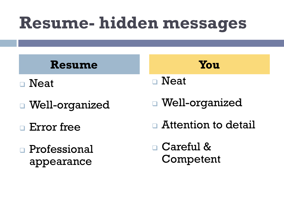### **Resume- hidden messages**

#### **Resume You**

- $\square$  Neat
- <sup>q</sup> Well-organized
- <sup>q</sup> Error free
- <sup>q</sup> Professional appearance

- $\square$  Neat
- <sup>q</sup> Well-organized
- $\Box$  Attention to detail

<sup>q</sup> Careful & Competent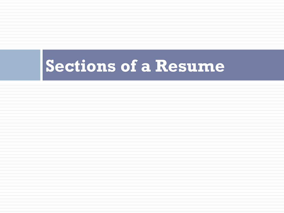### **Sections of a Resume**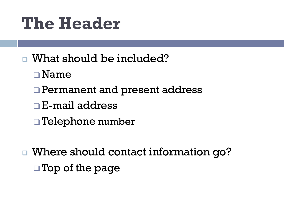### **The Header**

- **q** What should be included?
	- $\square$  Name
	- **Permanent and present address**
	- $\Box$  E-mail address
	- $\Box$  Telephone number
- □ Where should contact information go?  $\square$  Top of the page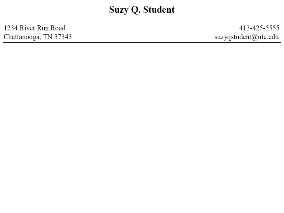1234 River Run Road Chattanooga, TN 37343

413-425-5555 suzyqstudent@utc.edu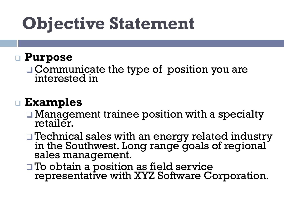### **Objective Statement**

#### <sup>q</sup> **Purpose**

 $\Box$  Communicate the type of position you are interested in

#### <sup>q</sup> **Examples**

- $\Box$  Management trainee position with a specialty retailer.
- q Technical sales with an energy related industry in the Southwest. Long range goals of regional sales management.
- To obtain a position as field service representative with XYZ Software Corporation.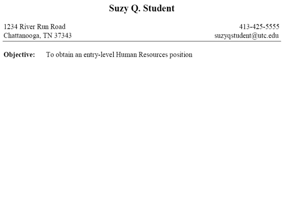1234 River Run Road Chattanooga, TN 37343

413-425-5555 suzyqstudent@utc.edu

To obtain an entry-level Human Resources position Objective: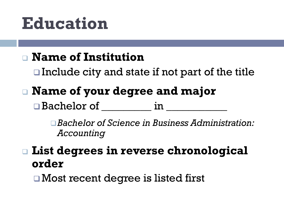### **Education**

#### <sup>q</sup> **Name of Institution**

 $\Box$  Include city and state if not part of the title

### <sup>q</sup> **Name of your degree and major**

 $\square$  Bachelor of  $\square$ 

□ *Bachelor of Science in Business Administration: Accounting* 

### <sup>q</sup> **List degrees in reverse chronological order**

 $\Box$  Most recent degree is listed first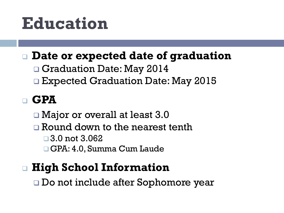### **Education**

#### <sup>q</sup> **Date or expected date of graduation**

- □ Graduation Date: May 2014
- □ Expected Graduation Date: May 2015

### <sup>q</sup> **GPA**

□ Major or overall at least 3.0

- $\Box$  Round down to the nearest tenth
	- $\Box$  3.0 not 3.062
	- □ GPA: 4.0, Summa Cum Laude

### <sup>q</sup> **High School Information**

□ Do not include after Sophomore year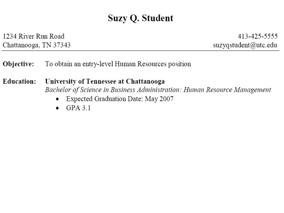1234 River Run Road Chattanooga, TN 37343

413-425-5555 suzyqstudent@utc.edu

Objective: To obtain an entry-level Human Resources position

**Education:** University of Tennessee at Chattanooga Bachelor of Science in Business Administration: Human Resource Management

- Expected Graduation Date: May 2007  $\bullet$
- $GPA$  3.1  $\bullet$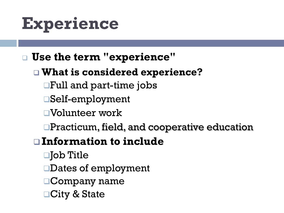### **Experience**

#### <sup>q</sup> **Use the term "experience"**

#### <sup>q</sup> **What is considered experience?**

- $\Box$ Full and part-time jobs
- qSelf-employment
- qVolunteer work
- $\Box$ Practicum, field, and cooperative education

#### q **Information to include**

- $\Box$ Job Title
- □Dates of employment
- $\Box$ Company name
- **nCity & State**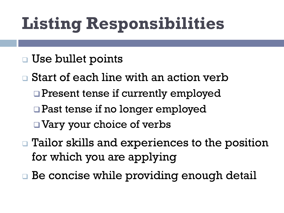## **Listing Responsibilities**

- <sup>q</sup> Use bullet points
- $\Box$  Start of each line with an action verb
	- $\Box$  Present tense if currently employed
	- $\Box$  Past tense if no longer employed
	- $\Box$  Vary your choice of verbs
- □ Tailor skills and experiences to the position for which you are applying
- □ Be concise while providing enough detail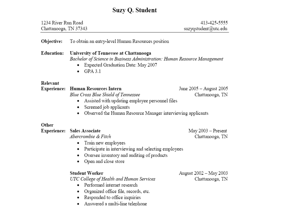| 1234 River Run Road<br>Chattanooga, TN 37343 |                                                                                                                                                                                                                        | 413-425-5555<br>suzyqstudent@utc.edu       |
|----------------------------------------------|------------------------------------------------------------------------------------------------------------------------------------------------------------------------------------------------------------------------|--------------------------------------------|
| Objective:                                   | To obtain an entry-level Human Resources position                                                                                                                                                                      |                                            |
| <b>Education:</b>                            | University of Tennessee at Chattanooga<br>Bachelor of Science in Business Administration: Human Resource Management<br>Expected Graduation Date: May 2007<br>$GPA$ 3.1                                                 |                                            |
| Relevant                                     |                                                                                                                                                                                                                        |                                            |
| <b>Experience:</b>                           | <b>Human Resources Intern</b><br>Blue Cross Blue Shield of Tennessee<br>Assisted with updating employee personnel files<br>Screened job applicants<br>Observed the Human Resource Manager interviewing applicants<br>٠ | June 2005 – August 2005<br>Chattanooga, TN |
| Other                                        |                                                                                                                                                                                                                        |                                            |
| <b>Experience:</b>                           | <b>Sales Associate</b><br>Abercrombie & Fitch<br>Train new employees<br>٠<br>Participate in interviewing and selecting employees<br>٠<br>Oversee inventory and auditing of products<br>Open and close store            | May 2003 - Present<br>Chattanooga, TN      |
|                                              | <b>Student Worker</b><br>UTC College of Health and Human Services<br>Performed internet research<br>Organized office file, records, etc.<br>Responded to office inquiries<br>Answered a multi-line telephone           | August 2002 - May 2003<br>Chattanooga, TN  |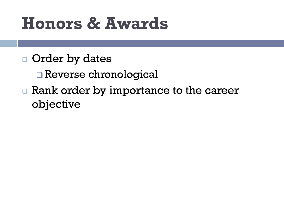### **Honors & Awards**

- **Q** Order by dates
	- Reverse chronological
- **n** Rank order by importance to the career objective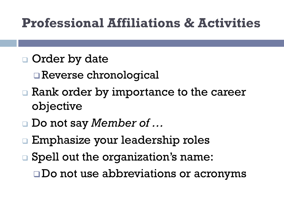### **Professional Affiliations & Activities**

- **□** Order by date
	- Reverse chronological
- **Exank order by importance to the career** objective
- <sup>q</sup> Do not say *Member of …*
- □ Emphasize your leadership roles
- □ Spell out the organization's name:  $\square$ Do not use abbreviations or acronyms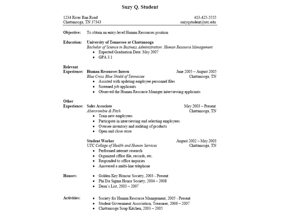| 1234 River Run Road   |                                                                                                                                                                                                                             | 413-425-5555                               |
|-----------------------|-----------------------------------------------------------------------------------------------------------------------------------------------------------------------------------------------------------------------------|--------------------------------------------|
| Chattanooga, TN 37343 |                                                                                                                                                                                                                             | suzyqstudent@utc.edu                       |
| Objective:            | To obtain an entry-level Human Resources position                                                                                                                                                                           |                                            |
| <b>Education:</b>     | University of Tennessee at Chattanooga<br>Bachelor of Science in Business Administration: Human Resource Management<br>Expected Graduation Date: May 2007<br>$\bullet$ GPA 3.1                                              |                                            |
| Relevant              | Experience: Human Resources Intern<br>Blue Cross Blue Shield of Tennessee<br>Assisted with updating employee personnel files<br>Screened job applicants<br>Observed the Human Resource Manager interviewing applicants<br>٠ | June 2005 - August 2005<br>Chattanooga, TN |
| Other                 | Experience: Sales Associate<br>Abercrombie & Fitch<br>Train new employees<br>٠<br>• Participate in interviewing and selecting employees<br>• Oversee inventory and auditing of products<br>• Open and close store           | May 2003 - Present<br>Chattanooga, TN      |
|                       | Student Worker<br>UTC College of Health and Human Services<br>Performed internet research<br>٠<br>Organized office file, records, etc.<br>• Responded to office inquiries<br>Answered a multi-line telephone<br>٠           | August 2002 - May 2003<br>Chattanooga, TN  |
| Honors:               | Golden Key Honour Society, 2003 - Present<br>Phi Eta Sigma Honor Society, 2004 - 2008<br>٠<br>Dean's List, 2003 - 2007<br>٠                                                                                                 |                                            |
| Activities:           | Society for Human Resource Management, 2005 - Present<br>Student Government Association, Treasurer, 2006 - 2007                                                                                                             |                                            |

• Chattanooga Soup Kitchen, 2003 - 2005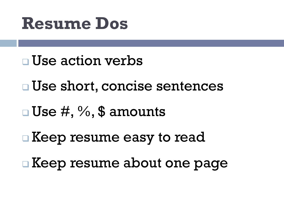### **Resume Dos**

- $\neg$  Use action verbs
- <sup>q</sup> Use short, concise sentences
- $\Box$  Use  $\#$ , %, \$ amounts
- □ Keep resume easy to read
- <sup>q</sup> Keep resume about one page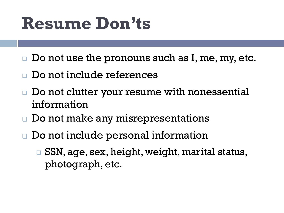### **Resume Don'ts**

- $\square$  Do not use the pronouns such as I, me, my, etc.
- Do not include references
- Do not clutter your resume with nonessential information
- Do not make any misrepresentations
- □ Do not include personal information
	- □ SSN, age, sex, height, weight, marital status, photograph, etc.